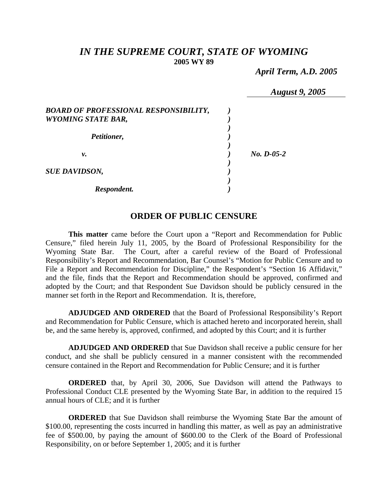# *IN THE SUPREME COURT, STATE OF WYOMING*  **2005 WY 89**

*April Term, A.D. 2005* 

|                                                                    | <b>August 9, 2005</b> |
|--------------------------------------------------------------------|-----------------------|
| BOARD OF PROFESSIONAL RESPONSIBILITY,<br><b>WYOMING STATE BAR,</b> |                       |
| Petitioner,                                                        |                       |
| ν.                                                                 | $No. D-05-2$          |
| <b>SUE DAVIDSON,</b>                                               |                       |
| Respondent.                                                        |                       |

## **ORDER OF PUBLIC CENSURE**

**This matter** came before the Court upon a "Report and Recommendation for Public Censure," filed herein July 11, 2005, by the Board of Professional Responsibility for the Wyoming State Bar. The Court, after a careful review of the Board of Professional Responsibility's Report and Recommendation, Bar Counsel's "Motion for Public Censure and to File a Report and Recommendation for Discipline," the Respondent's "Section 16 Affidavit," and the file, finds that the Report and Recommendation should be approved, confirmed and adopted by the Court; and that Respondent Sue Davidson should be publicly censured in the manner set forth in the Report and Recommendation. It is, therefore,

**ADJUDGED AND ORDERED** that the Board of Professional Responsibility's Report and Recommendation for Public Censure, which is attached hereto and incorporated herein, shall be, and the same hereby is, approved, confirmed, and adopted by this Court; and it is further

**ADJUDGED AND ORDERED** that Sue Davidson shall receive a public censure for her conduct, and she shall be publicly censured in a manner consistent with the recommended censure contained in the Report and Recommendation for Public Censure; and it is further

**ORDERED** that, by April 30, 2006, Sue Davidson will attend the Pathways to Professional Conduct CLE presented by the Wyoming State Bar, in addition to the required 15 annual hours of CLE; and it is further

**ORDERED** that Sue Davidson shall reimburse the Wyoming State Bar the amount of \$100.00, representing the costs incurred in handling this matter, as well as pay an administrative fee of \$500.00, by paying the amount of \$600.00 to the Clerk of the Board of Professional Responsibility, on or before September 1, 2005; and it is further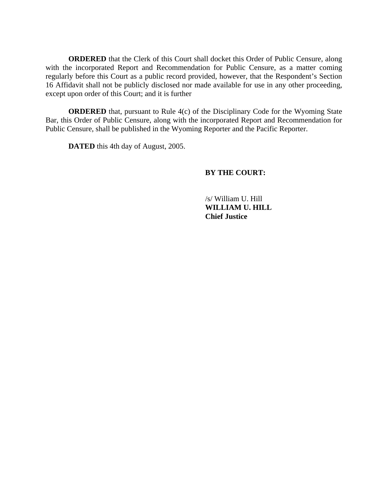**ORDERED** that the Clerk of this Court shall docket this Order of Public Censure, along with the incorporated Report and Recommendation for Public Censure, as a matter coming regularly before this Court as a public record provided, however, that the Respondent's Section 16 Affidavit shall not be publicly disclosed nor made available for use in any other proceeding, except upon order of this Court; and it is further

**ORDERED** that, pursuant to Rule 4(c) of the Disciplinary Code for the Wyoming State Bar, this Order of Public Censure, along with the incorporated Report and Recommendation for Public Censure, shall be published in the Wyoming Reporter and the Pacific Reporter.

**DATED** this 4th day of August, 2005.

## **BY THE COURT:**

 /s/ William U. Hill **WILLIAM U. HILL Chief Justice**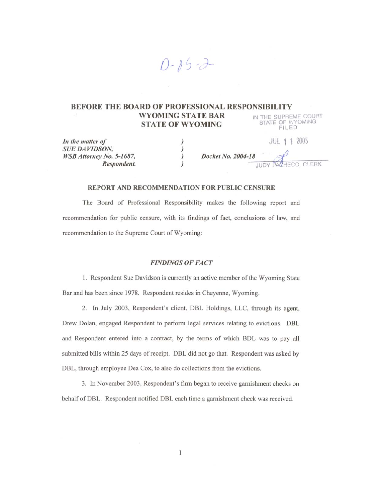### **BEFORE THE BOARD OF PROFESSIONAL RESPONSIBILITY** IN THE SUPREME COURT<br>STATE OF WYOMING<br>FILED **WYOMING STATE BAR STATE OF WYOMING**

 $D - 85 - 3$ 

| In the matter of                | <b>JUL 1 1 2005</b> |
|---------------------------------|---------------------|
| <b>SUE DAVIDSON.</b>            |                     |
| <i>WSB Attorney No. 5-1687,</i> | Docket No. 2004-18  |
| Respondent.                     | JUDY PACHECO, CLERK |

#### REPORT AND RECOMMENDATION FOR PUBLIC CENSURE

The Board of Professional Responsibility makes the following report and recommendation for public censure, with its findings of fact, conclusions of law, and recommendation to the Supreme Court of Wyoming:

### **FINDINGS OF FACT**

1. Respondent Sue Davidson is currently an active member of the Wyoming State Bar and has been since 1978. Respondent resides in Cheyenne, Wyoming.

2. In July 2003, Respondent's client, DBL Holdings, LLC, through its agent, Drew Dolan, engaged Respondent to perform legal services relating to evictions. DBL and Respondent entered into a contract, by the terms of which BDL was to pay all submitted bills within 25 days of receipt. DBL did not go that. Respondent was asked by DBL, through employee Dea Cox, to also do collections from the evictions.

3. In November 2003, Respondent's firm began to receive garnishment checks on behalf of DBL. Respondent notified DBL each time a garnishment check was received.

 $\mathbf{1}$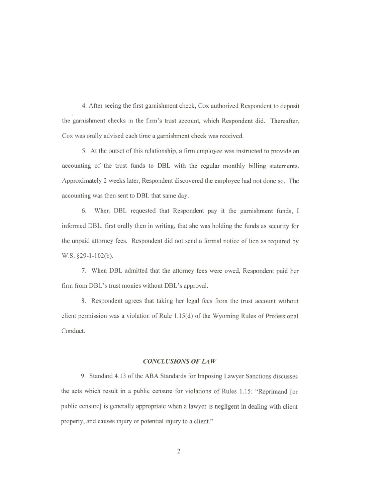4. After seeing the first garnishment check, Cox authorized Respondent to deposit the garnishment checks in the firm's trust account, which Respondent did. Thereafter, Cox was orally advised each time a garnishment check was received.

5. At the outset of this relationship, a firm employee was instructed to provide an accounting of the trust funds to DBL with the regular monthly billing statements. Approximately 2 weeks later, Respondent discovered the employee had not done so. The accounting was then sent to DBL that same day.

6. When DBL requested that Respondent pay it the garnishment funds, I informed DBL, first orally then in writing, that she was holding the funds as security for the unpaid attorney fees. Respondent did not send a formal notice of lien as required by W.S. §29-1-102(b).

7. When DBL admitted that the attorney fees were owed, Respondent paid her firm from DBL's trust monies without DBL's approval.

8. Respondent agrees that taking her legal fees from the trust account without client permission was a violation of Rule 1.15(d) of the Wyoming Rules of Professional Conduct.

#### **CONCLUSIONS OF LAW**

9. Standard 4.13 of the ABA Standards for Imposing Lawyer Sanctions discusses the acts which result in a public censure for violations of Rules 1.15: "Reprimand [or public censure] is generally appropriate when a lawyer is negligent in dealing with client property, and causes injury or potential injury to a client."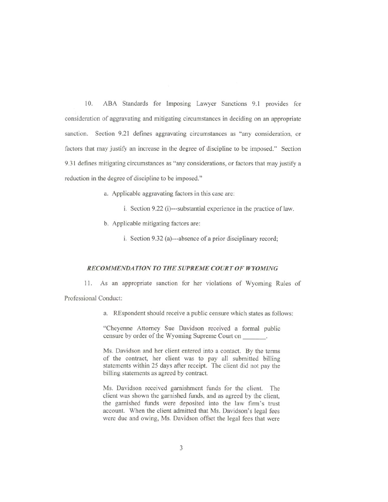10. ABA Standards for Imposing Lawyer Sanctions 9.1 provides for consideration of aggravating and mitigating circumstances in deciding on an appropriate sanction. Section 9.21 defines aggravating circumstances as "any consideration, or factors that may justify an increase in the degree of discipline to be imposed." Section 9.31 defines mitigating circumstances as "any considerations, or factors that may justify a reduction in the degree of discipline to be imposed."

a. Applicable aggravating factors in this case are:

i. Section 9.22 (i)---substantial experience in the practice of law.

b. Applicable mitigating factors are:

i. Section 9.32 (a)---absence of a prior disciplinary record;

### RECOMMENDATION TO THE SUPREME COURT OF WYOMING

As an appropriate sanction for her violations of Wyoming Rules of 11.

Professional Conduct:

a. REspondent should receive a public censure which states as follows:

"Cheyenne Attorney Sue Davidson received a formal public censure by order of the Wyoming Supreme Court on

Ms. Davidson and her client entered into a contact. By the terms of the contract, her client was to pay all submitted billing statements within 25 days after receipt. The client did not pay the billing statements as agreed by contract.

Ms. Davidson received garnishment funds for the client. The client was shown the garnished funds, and as agreed by the client, the garnished funds were deposited into the law firm's trust account. When the client admitted that Ms. Davidson's legal fees were due and owing, Ms. Davidson offset the legal fees that were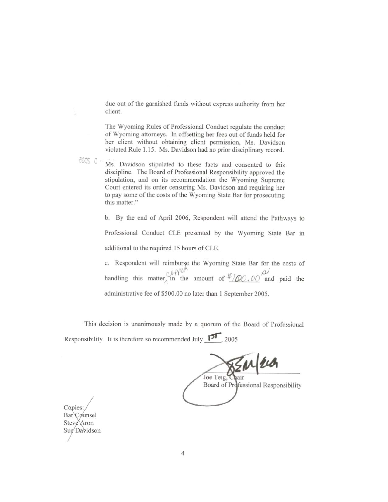due out of the garnished funds without express authority from her client.

The Wyoming Rules of Professional Conduct regulate the conduct of Wyoming attorneys. In offsetting her fees out of funds held for her client without obtaining client permission, Ms. Davidson violated Rule 1.15. Ms. Davidson had no prior disciplinary record.

改好 2-

Ms. Davidson stipulated to these facts and consented to this discipline. The Board of Professional Responsibility approved the stipulation, and on its recommendation the Wyoming Supreme Court entered its order censuring Ms. Davidson and requiring her to pay some of the costs of the Wyoming State Bar for prosecuting this matter."

b. By the end of April 2006, Respondent will attend the Pathways to

Professional Conduct CLE presented by the Wyoming State Bar in additional to the required 15 hours of CLE.

c. Respondent will reimburse the Wyoming State Bar for the costs of handling this matter in the amount of  $\frac{\partial (\mathcal{P})^{\mathcal{U}}}{\partial \mathcal{U}}$  and paid the administrative fee of \$500.00 no later than 1 September 2005.

This decision is unanimously made by a quorum of the Board of Professional Responsibility. It is therefore so recommended July  $\boxed{51}$ , 2005

Joe Teig, Opair Eld

Board of Professional Responsibility

Copies: Bar Counsel Steve Aron Sug Davidson